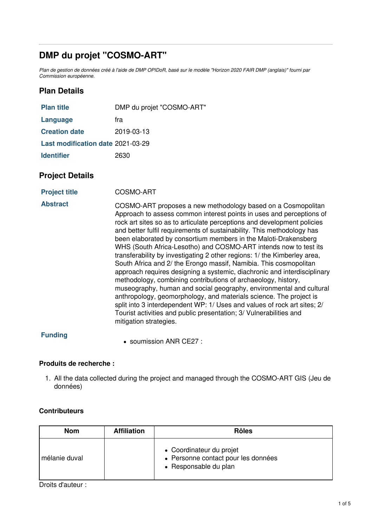# **DMP du projet "COSMO-ART"**

Plan de gestion de données créé à l'aide de DMP OPIDoR, basé sur le modèle "Horizon 2020 FAIR DMP (anglais)" fourni par *Commission européenne.*

# **Plan Details**

| <b>Plan title</b>                 | DMP du projet "COSMO-ART" |
|-----------------------------------|---------------------------|
| Language                          | fra                       |
| <b>Creation date</b>              | 2019-03-13                |
| Last modification date 2021-03-29 |                           |
| <b>Identifier</b>                 | 2630                      |

## **Project Details**

**Project title** COSMO-ART

**Abstract** COSMO-ART proposes a new methodology based on a Cosmopolitan Approach to assess common interest points in uses and perceptions of rock art sites so as to articulate perceptions and development policies and better fulfil requirements of sustainability. This methodology has been elaborated by consortium members in the Maloti-Drakensberg WHS (South Africa-Lesotho) and COSMO-ART intends now to test its transferability by investigating 2 other regions: 1/ the Kimberley area, South Africa and 2/ the Erongo massif, Namibia. This cosmopolitan approach requires designing a systemic, diachronic and interdisciplinary methodology, combining contributions of archaeology, history, museography, human and social geography, environmental and cultural anthropology, geomorphology, and materials science. The project is split into 3 interdependent WP: 1/ Uses and values of rock art sites; 2/ Tourist activities and public presentation; 3/ Vulnerabilities and mitigation strategies.

### **Funding**

■ soumission ANR CE27 ·

### **Produits de recherche :**

1. All the data collected during the project and managed through the COSMO-ART GIS (Jeu de données)

### **Contributeurs**

| <b>Nom</b>    | <b>Affiliation</b> | <b>Rôles</b>                                                                             |
|---------------|--------------------|------------------------------------------------------------------------------------------|
| mélanie duval |                    | • Coordinateur du projet<br>• Personne contact pour les données<br>• Responsable du plan |

Droits d'auteur :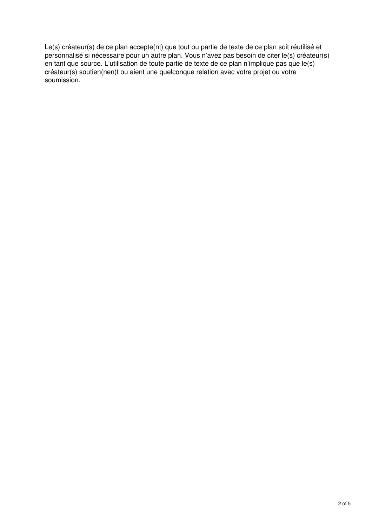Le(s) créateur(s) de ce plan accepte(nt) que tout ou partie de texte de ce plan soit réutilisé et personnalisé si nécessaire pour un autre plan. Vous n'avez pas besoin de citer le(s) créateur(s) en tant que source. L'utilisation de toute partie de texte de ce plan n'implique pas que le(s) créateur(s) soutien(nen)t ou aient une quelconque relation avec votre projet ou votre soumission.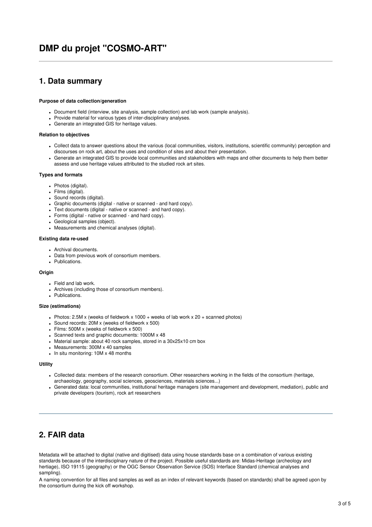# **DMP du projet "COSMO-ART"**

### **1. Data summary**

#### **Purpose of data collection/generation**

- Document field (interview, site analysis, sample collection) and lab work (sample analysis).
- Provide material for various types of inter-disciplinary analyses.
- Generate an integrated GIS for heritage values.

#### **Relation to objectives**

- Collect data to answer questions about the various (local communities, visitors, institutions, scientific community) perception and discourses on rock art, about the uses and condition of sites and about their presentation.
- Generate an integrated GIS to provide local communities and stakeholders with maps and other documents to help them better assess and use heritage values attributed to the studied rock art sites.

#### **Types and formats**

- Photos (digital).
- Films (digital).
- Sound records (digital).
- Graphic documents (digital native or scanned and hard copy).
- Text documents (digital native or scanned and hard copy).
- Forms (digital native or scanned and hard copy).
- Geological samples (object).
- Measurements and chemical analyses (digital).

#### **Existing data re-used**

- Archival documents.
- Data from previous work of consortium members.
- Publications.

#### **Origin**

- Field and lab work.
- Archives (including those of consortium members).
- Publications.

#### **Size (estimations)**

- Photos: 2.5M x (weeks of fieldwork x 1000 + weeks of lab work x 20 + scanned photos)
- Sound records: 20M x (weeks of fieldwork x 500)
- Films: 500M x (weeks of fieldwork x 500)
- Scanned texts and graphic documents: 1000M x 48
- Material sample: about 40 rock samples, stored in a 30x25x10 cm box
- Measurements: 300M x 40 samples
- $\cdot$  In situ monitoring: 10M x 48 months

#### **Utility**

- Collected data: members of the research consortium. Other researchers working in the fields of the consortium (heritage, archaeology, geography, social sciences, geosciences, materials sciences...)
- Generated data: local communities, institutional heritage managers (site management and development, mediation), public and private developers (tourism), rock art researchers

## **2. FAIR data**

Metadata will be attached to digital (native and digitised) data using house standards base on a combination of various existing standards because of the interdisciplnary nature of the project. Possible useful standards are: Midas-Heritage (archeology and hertiage), ISO 19115 (geography) or the OGC Sensor Observation Service (SOS) Interface Standard (chemical analyses and sampling).

A naming convention for all files and samples as well as an index of relevant keywords (based on standards) shall be agreed upon by the consortium during the kick off workshop.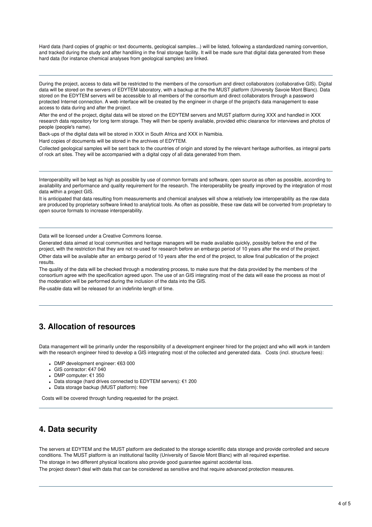Hard data (hard copies of graphic or text documents, geological samples...) will be listed, following a standardized naming convention, and tracked during the study and after handiling in the final storage facility. It will be made sure that digital data generated from these hard data (for instance chemical analyses from geological samples) are linked.

During the project, access to data will be restricted to the members of the consortium and direct collaborators (collaborative GIS). Digital data will be stored on the servers of EDYTEM laboratory, with a backup at the the MUST platform (University Savoie Mont Blanc). Data stored on the EDYTEM servers will be accessible to all members of the consortium and direct collaborators through a password protected Internet connection. A web interface will be created by the engineer in charge of the project's data management to ease access to data during and after the project.

After the end of the project, digital data will be stored on the EDYTEM servers and MUST platform during XXX and handled in XXX research data repository for long term storage. They will then be openly available, provided ethic clearance for interviews and photos of people (people's name).

Back-ups of the digital data will be stored in XXX in South Africa and XXX in Namibia.

Hard copies of documents will be stored in the archives of EDYTEM.

Collected geological samples will be sent back to the countries of origin and stored by the relevant heritage authorities, as integral parts of rock art sites. They will be accompanied with a digital copy of all data generated from them.

Interoperability will be kept as high as possible by use of common formats and software, open source as often as possible, according to availability and performance and quality requirement for the research. The interoperability be greatly improved by the integration of most data within a project GIS.

It is anticipated that data resulting from measurements and chemical analyses will show a relatively low interoperability as the raw data are produced by proprietary software linked to analytical tools. As often as possible, these raw data will be converted from proprietary to open source formats to increase interoperability.

Data will be licensed under a Creative Commons license.

Generated data aimed at local communities and heritage managers will be made available quickly, possibly before the end of the project, with the restriction that they are not re-used for research before an embargo period of 10 years after the end of the project. Other data will be available after an embargo period of 10 years after the end of the project, to allow final publication of the project results.

The quality of the data will be checked through a moderating process, to make sure that the data provided by the members of the consortium agree with the specification agreed upon. The use of an GIS integrating most of the data will ease the process as most of the moderation will be performed during the inclusion of the data into the GIS.

Re-usable data will be released for an indefinite length of time.

## **3. Allocation of resources**

Data management will be primarily under the responsibility of a development engineer hired for the project and who will work in tandem with the research engineer hired to develop a GIS integrating most of the collected and generated data. Costs (incl. structure fees):

- DMP development engineer: €63 000
- GIS contractor: €47 040
- DMP computer: €1 350
- Data storage (hard drives connected to EDYTEM servers): €1 200
- Data storage backup (MUST platform): free

Costs will be covered through funding requested for the project.

### **4. Data security**

The servers at EDYTEM and the MUST platform are dedicated to the storage scientific data storage and provide controlled and secure conditions. The MUST platform is an institutional facility (University of Savoie Mont Blanc) with all required expertise.

The storage in two different physical locations also provide good guarantee against accidental loss.

The project doesn't deal with data that can be considered as sensitive and that require advanced protection measures.